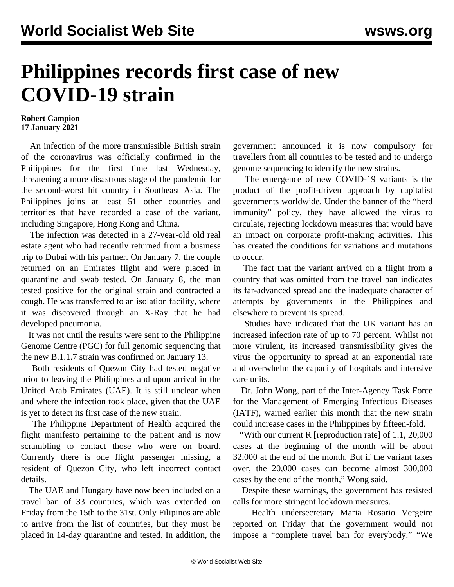## **Philippines records first case of new COVID-19 strain**

## **Robert Campion 17 January 2021**

 An infection of the more transmissible British strain of the coronavirus was officially confirmed in the Philippines for the first time last Wednesday, threatening a more disastrous stage of the pandemic for the second-worst hit country in Southeast Asia. The Philippines joins at least 51 other countries and territories that have recorded a case of the variant, including Singapore, Hong Kong and China.

 The infection was detected in a 27-year-old old real estate agent who had recently returned from a business trip to Dubai with his partner. On January 7, the couple returned on an Emirates flight and were placed in quarantine and swab tested. On January 8, the man tested positive for the original strain and contracted a cough. He was transferred to an isolation facility, where it was discovered through an X-Ray that he had developed pneumonia.

 It was not until the results were sent to the Philippine Genome Centre (PGC) for full genomic sequencing that the new B.1.1.7 strain was confirmed on January 13.

 Both residents of Quezon City had tested negative prior to leaving the Philippines and upon arrival in the United Arab Emirates (UAE). It is still unclear when and where the infection took place, given that the UAE is yet to detect its first case of the new strain.

 The Philippine Department of Health acquired the flight manifesto pertaining to the patient and is now scrambling to contact those who were on board. Currently there is one flight passenger missing, a resident of Quezon City, who left incorrect contact details.

 The UAE and Hungary have now been included on a travel ban of 33 countries, which was extended on Friday from the 15th to the 31st. Only Filipinos are able to arrive from the list of countries, but they must be placed in 14-day quarantine and tested. In addition, the

government announced it is now compulsory for travellers from all countries to be tested and to undergo genome sequencing to identify the new strains.

 The emergence of new COVID-19 variants is the product of the profit-driven approach by capitalist governments worldwide. Under the banner of the "herd immunity" policy, they have allowed the virus to circulate, rejecting lockdown measures that would have an impact on corporate profit-making activities. This has created the conditions for variations and mutations to occur.

 The fact that the variant arrived on a flight from a country that was omitted from the travel ban indicates its far-advanced spread and the inadequate character of attempts by governments in the Philippines and elsewhere to prevent its spread.

 Studies have indicated that the UK variant has an increased infection rate of up to 70 percent. Whilst not more virulent, its increased transmissibility gives the virus the opportunity to spread at an exponential rate and overwhelm the capacity of hospitals and intensive care units.

 Dr. John Wong, part of the Inter-Agency Task Force for the Management of Emerging Infectious Diseases (IATF), warned earlier this month that the new strain could increase cases in the Philippines by fifteen-fold.

 "With our current R [reproduction rate] of 1.1, 20,000 cases at the beginning of the month will be about 32,000 at the end of the month. But if the variant takes over, the 20,000 cases can become almost 300,000 cases by the end of the month," Wong said.

 Despite these warnings, the government has resisted calls for more stringent lockdown measures.

 Health undersecretary Maria Rosario Vergeire reported on Friday that the government would not impose a "complete travel ban for everybody." "We